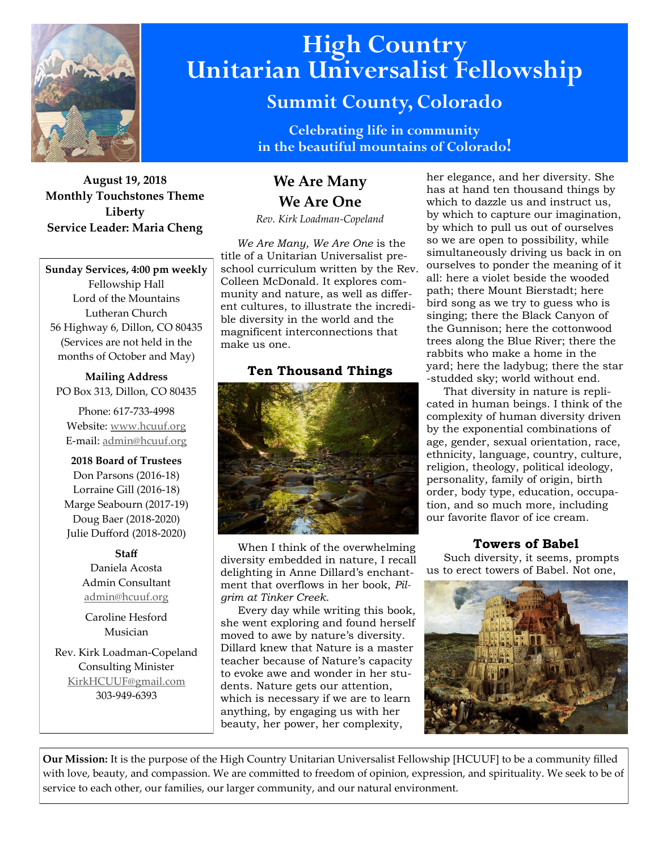

**August 19, 2018 Monthly Touchstones Theme Liberty Service Leader: Maria Cheng**

**Sunday Services, 4:00 pm weekly** Fellowship Hall Lord of the Mountains Lutheran Church 56 Highway 6, Dillon, CO 80435 (Services are not held in the months of October and May)

**Mailing Address** PO Box 313, Dillon, CO 80435

Phone: 617-733-4998 Website: [www.hcuuf.org](http://www.hcuuf.org/) E-mail: [admin@hcuuf.org](mailto:admin@hcuuf.org)

**2018 Board of Trustees** Don Parsons (2016-18) Lorraine Gill (2016-18) Marge Seabourn (2017-19) Doug Baer (2018-2020) Julie Dufford (2018-2020)

#### **Staff**

Daniela Acosta Admin Consultant [admin@hcuuf.org](mailto:admin@hcuuf.org)

Caroline Hesford Musician

Rev. Kirk Loadman-Copeland Consulting Minister [KirkHCUUF@gmail.com](mailto:KirkHCUUF@gmail.com) 303-949-6393

# **High Country Unitarian Universalist Fellowship**

# **Summit County, Colorado**

**Celebrating life in community in the beautiful mountains of Colorado!** 

# **We Are Many We Are One**

*Rev. Kirk Loadman-Copeland*

 *We Are Many, We Are One* is the title of a Unitarian Universalist preschool curriculum written by the Rev. Colleen McDonald. It explores community and nature, as well as different cultures, to illustrate the incredible diversity in the world and the magnificent interconnections that make us one.

# **Ten Thousand Things**



 When I think of the overwhelming diversity embedded in nature, I recall delighting in Anne Dillard's enchantment that overflows in her book, *Pilgrim at Tinker Creek*.

 Every day while writing this book, she went exploring and found herself moved to awe by nature's diversity. Dillard knew that Nature is a master teacher because of Nature's capacity to evoke awe and wonder in her students. Nature gets our attention, which is necessary if we are to learn anything, by engaging us with her beauty, her power, her complexity,

her elegance, and her diversity. She has at hand ten thousand things by which to dazzle us and instruct us, by which to capture our imagination, by which to pull us out of ourselves so we are open to possibility, while simultaneously driving us back in on ourselves to ponder the meaning of it all: here a violet beside the wooded path; there Mount Bierstadt; here bird song as we try to guess who is singing; there the Black Canyon of the Gunnison; here the cottonwood trees along the Blue River; there the rabbits who make a home in the yard; here the ladybug; there the star -studded sky; world without end.

 That diversity in nature is replicated in human beings. I think of the complexity of human diversity driven by the exponential combinations of age, gender, sexual orientation, race, ethnicity, language, country, culture, religion, theology, political ideology, personality, family of origin, birth order, body type, education, occupation, and so much more, including our favorite flavor of ice cream.

# **Towers of Babel**

 Such diversity, it seems, prompts us to erect towers of Babel. Not one,



**Our Mission:** It is the purpose of the High Country Unitarian Universalist Fellowship [HCUUF] to be a community filled with love, beauty, and compassion. We are committed to freedom of opinion, expression, and spirituality. We seek to be of service to each other, our families, our larger community, and our natural environment.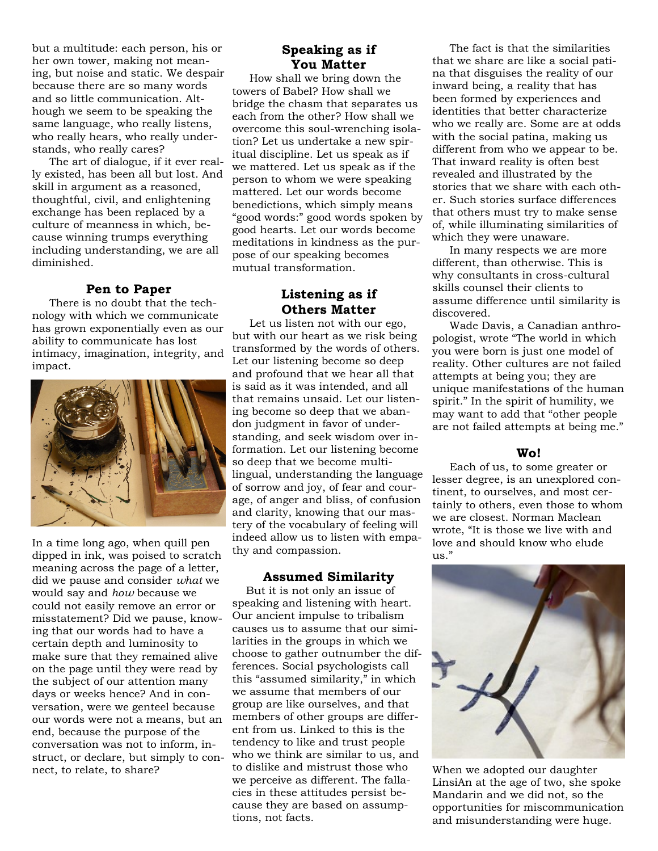but a multitude: each person, his or her own tower, making not meaning, but noise and static. We despair because there are so many words and so little communication. Although we seem to be speaking the same language, who really listens, who really hears, who really understands, who really cares?

 The art of dialogue, if it ever really existed, has been all but lost. And skill in argument as a reasoned, thoughtful, civil, and enlightening exchange has been replaced by a culture of meanness in which, because winning trumps everything including understanding, we are all diminished.

#### **Pen to Paper**

 There is no doubt that the technology with which we communicate has grown exponentially even as our ability to communicate has lost intimacy, imagination, integrity, and impact.



In a time long ago, when quill pen dipped in ink, was poised to scratch meaning across the page of a letter, did we pause and consider *what* we would say and *how* because we could not easily remove an error or misstatement? Did we pause, knowing that our words had to have a certain depth and luminosity to make sure that they remained alive on the page until they were read by the subject of our attention many days or weeks hence? And in conversation, were we genteel because our words were not a means, but an end, because the purpose of the conversation was not to inform, instruct, or declare, but simply to connect, to relate, to share?

# **Speaking as if You Matter**

 How shall we bring down the towers of Babel? How shall we bridge the chasm that separates us each from the other? How shall we overcome this soul-wrenching isolation? Let us undertake a new spiritual discipline. Let us speak as if we mattered. Let us speak as if the person to whom we were speaking mattered. Let our words become benedictions, which simply means "good words:" good words spoken by good hearts. Let our words become meditations in kindness as the purpose of our speaking becomes mutual transformation.

## **Listening as if Others Matter**

 Let us listen not with our ego, but with our heart as we risk being transformed by the words of others. Let our listening become so deep and profound that we hear all that is said as it was intended, and all that remains unsaid. Let our listening become so deep that we abandon judgment in favor of understanding, and seek wisdom over information. Let our listening become so deep that we become multilingual, understanding the language of sorrow and joy, of fear and courage, of anger and bliss, of confusion and clarity, knowing that our mastery of the vocabulary of feeling will indeed allow us to listen with empathy and compassion.

#### **Assumed Similarity**

 But it is not only an issue of speaking and listening with heart. Our ancient impulse to tribalism causes us to assume that our similarities in the groups in which we choose to gather outnumber the differences. Social psychologists call this "assumed similarity," in which we assume that members of our group are like ourselves, and that members of other groups are different from us. Linked to this is the tendency to like and trust people who we think are similar to us, and to dislike and mistrust those who we perceive as different. The fallacies in these attitudes persist because they are based on assumptions, not facts.

 The fact is that the similarities that we share are like a social patina that disguises the reality of our inward being, a reality that has been formed by experiences and identities that better characterize who we really are. Some are at odds with the social patina, making us different from who we appear to be. That inward reality is often best revealed and illustrated by the stories that we share with each other. Such stories surface differences that others must try to make sense of, while illuminating similarities of which they were unaware.

 In many respects we are more different, than otherwise. This is why consultants in cross-cultural skills counsel their clients to assume difference until similarity is discovered.

 Wade Davis, a Canadian anthropologist, wrote "The world in which you were born is just one model of reality. Other cultures are not failed attempts at being you; they are unique manifestations of the human spirit." In the spirit of humility, we may want to add that "other people are not failed attempts at being me."

#### **Wo!**

 Each of us, to some greater or lesser degree, is an unexplored continent, to ourselves, and most certainly to others, even those to whom we are closest. Norman Maclean wrote, "It is those we live with and love and should know who elude us."



When we adopted our daughter LinsiAn at the age of two, she spoke Mandarin and we did not, so the opportunities for miscommunication and misunderstanding were huge.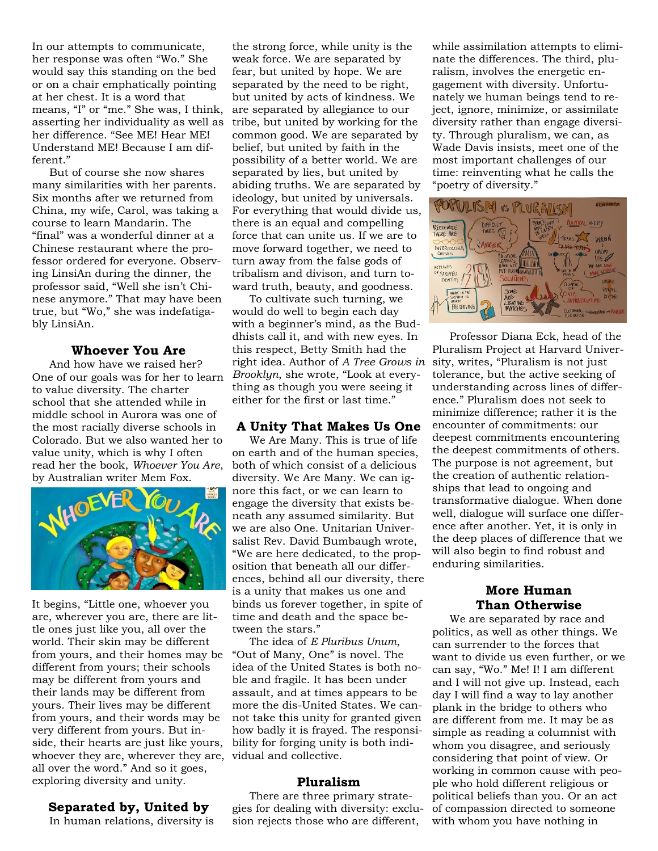In our attempts to communicate, her response was often "Wo." She would say this standing on the bed or on a chair emphatically pointing at her chest. It is a word that means, "I" or "me." She was, I think, asserting her individuality as well as her difference. "See ME! Hear ME! Understand ME! Because I am different."

 But of course she now shares many similarities with her parents. Six months after we returned from China, my wife, Carol, was taking a course to learn Mandarin. The "final" was a wonderful dinner at a Chinese restaurant where the professor ordered for everyone. Observing LinsiAn during the dinner, the professor said, "Well she isn't Chinese anymore." That may have been true, but "Wo," she was indefatigably LinsiAn.

#### **Whoever You Are**

 And how have we raised her? One of our goals was for her to learn to value diversity. The charter school that she attended while in middle school in Aurora was one of the most racially diverse schools in Colorado. But we also wanted her to value unity, which is why I often read her the book, *Whoever You Are*, by Australian writer Mem Fox.



It begins, "Little one, whoever you are, wherever you are, there are little ones just like you, all over the world. Their skin may be different from yours, and their homes may be different from yours; their schools may be different from yours and their lands may be different from yours. Their lives may be different from yours, and their words may be very different from yours. But inside, their hearts are just like yours, whoever they are, wherever they are, vidual and collective. all over the word." And so it goes, exploring diversity and unity.

#### **Separated by, United by**

In human relations, diversity is

the strong force, while unity is the weak force. We are separated by fear, but united by hope. We are separated by the need to be right, but united by acts of kindness. We are separated by allegiance to our tribe, but united by working for the common good. We are separated by belief, but united by faith in the possibility of a better world. We are separated by lies, but united by abiding truths. We are separated by ideology, but united by universals. For everything that would divide us, there is an equal and compelling force that can unite us. If we are to move forward together, we need to turn away from the false gods of tribalism and divison, and turn toward truth, beauty, and goodness.

 To cultivate such turning, we would do well to begin each day with a beginner's mind, as the Buddhists call it, and with new eyes. In this respect, Betty Smith had the right idea. Author of *A Tree Grows in* sity, writes, "Pluralism is not just *Brooklyn*, she wrote, "Look at everything as though you were seeing it either for the first or last time."

### **A Unity That Makes Us One**

 We Are Many. This is true of life on earth and of the human species, both of which consist of a delicious diversity. We Are Many. We can ignore this fact, or we can learn to engage the diversity that exists beneath any assumed similarity. But we are also One. Unitarian Universalist Rev. David Bumbaugh wrote, "We are here dedicated, to the proposition that beneath all our differences, behind all our diversity, there is a unity that makes us one and binds us forever together, in spite of time and death and the space between the stars."

 The idea of *E Pluribus Unum*, "Out of Many, One" is novel. The idea of the United States is both noble and fragile. It has been under assault, and at times appears to be more the dis-United States. We cannot take this unity for granted given how badly it is frayed. The responsibility for forging unity is both indi-

#### **Pluralism**

 There are three primary strategies for dealing with diversity: exclusion rejects those who are different,

while assimilation attempts to eliminate the differences. The third, pluralism, involves the energetic engagement with diversity. Unfortunately we human beings tend to reject, ignore, minimize, or assimilate diversity rather than engage diversity. Through pluralism, we can, as Wade Davis insists, meet one of the most important challenges of our time: reinventing what he calls the "poetry of diversity."



 Professor Diana Eck, head of the Pluralism Project at Harvard Univertolerance, but the active seeking of understanding across lines of difference." Pluralism does not seek to minimize difference; rather it is the encounter of commitments: our deepest commitments encountering the deepest commitments of others. The purpose is not agreement, but the creation of authentic relationships that lead to ongoing and transformative dialogue. When done well, dialogue will surface one difference after another. Yet, it is only in the deep places of difference that we will also begin to find robust and enduring similarities.

### **More Human Than Otherwise**

 We are separated by race and politics, as well as other things. We can surrender to the forces that want to divide us even further, or we can say, "Wo." Me! I! I am different and I will not give up. Instead, each day I will find a way to lay another plank in the bridge to others who are different from me. It may be as simple as reading a columnist with whom you disagree, and seriously considering that point of view. Or working in common cause with people who hold different religious or political beliefs than you. Or an act of compassion directed to someone with whom you have nothing in